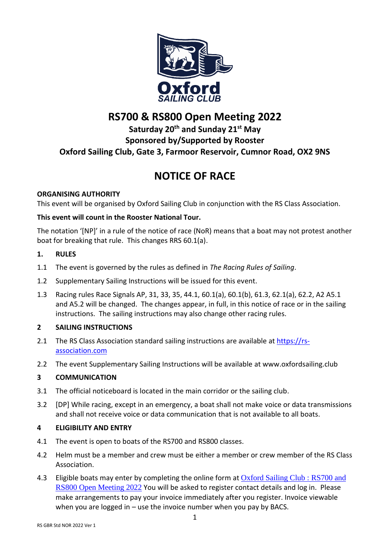

# **RS700 & RS800 Open Meeting 2022**

# **Saturday 20th and Sunday 21st May Sponsored by/Supported by Rooster Oxford Sailing Club, Gate 3, Farmoor Reservoir, Cumnor Road, OX2 9NS**

# **NOTICE OF RACE**

# **ORGANISING AUTHORITY**

This event will be organised by Oxford Sailing Club in conjunction with the RS Class Association.

# **This event will count in the Rooster National Tour.**

The notation '[NP]' in a rule of the notice of race (NoR) means that a boat may not protest another boat for breaking that rule. This changes RRS 60.1(a).

# **1. RULES**

- 1.1 The event is governed by the rules as defined in *The Racing Rules of Sailing*.
- 1.2 Supplementary Sailing Instructions will be issued for this event.
- 1.3 Racing rules Race Signals AP, 31, 33, 35, 44.1, 60.1(a), 60.1(b), 61.3, 62.1(a), 62.2, A2 A5.1 and A5.2 will be changed. The changes appear, in full, in this notice of race or in the sailing instructions.The sailing instructions may also change other racing rules.

# **2 SAILING INSTRUCTIONS**

- 2.1 The RS Class Association standard sailing instructions are available at [https://rs](https://rs-association.com/)[association.com](https://rs-association.com/)
- 2.2 The event Supplementary Sailing Instructions will be available at www.oxfordsailing.club

# **3 COMMUNICATION**

- 3.1 The official noticeboard is located in the main corridor or the sailing club.
- 3.2 [DP] While racing, except in an emergency, a boat shall not make voice or data transmissions and shall not receive voice or data communication that is not available to all boats.

# **4 ELIGIBILITY AND ENTRY**

- 4.1 The event is open to boats of the RS700 and RS800 classes.
- 4.2 Helm must be a member and crew must be either a member or crew member of the RS Class Association.
- 4.3 Eligible boats may enter by completing the online form at Oxford Sailing Club : RS700 and [RS800 Open Meeting 2022](https://www.oxfordsailing.club/event/rs700-and-ic-open) You will be asked to register contact details and log in. Please make arrangements to pay your invoice immediately after you register. Invoice viewable when you are logged in  $-$  use the invoice number when you pay by BACS.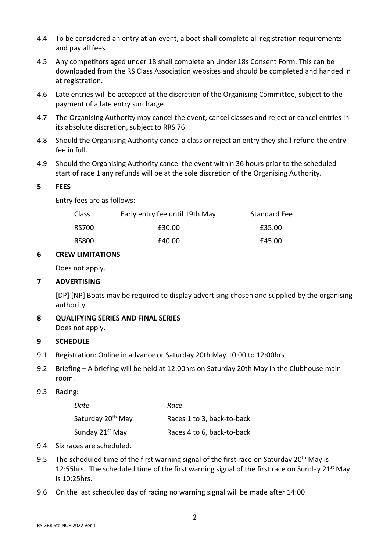- 4.4 To be considered an entry at an event, a boat shall complete all registration requirements and pay all fees.
- 4.5 Any competitors aged under 18 shall complete an Under 18s Consent Form. This can be downloaded from the RS Class Association websites and should be completed and handed in at registration.
- 4.6 Late entries will be accepted at the discretion of the Organising Committee, subject to the payment of a late entry surcharge.
- 4.7 The Organising Authority may cancel the event, cancel classes and reject or cancel entries in its absolute discretion, subject to RRS 76.
- 4.8 Should the Organising Authority cancel a class or reject an entry they shall refund the entry fee in full.
- 4.9 Should the Organising Authority cancel the event within 36 hours prior to the scheduled start of race 1 any refunds will be at the sole discretion of the Organising Authority.

#### **5 FEES**

Entry fees are as follows:

| <b>Class</b> | Early entry fee until 19th May | <b>Standard Fee</b> |
|--------------|--------------------------------|---------------------|
| RS700        | £30.00                         | £35.00              |
| RS800        | £40.00                         | £45.00              |

#### **6 CREW LIMITATIONS**

Does not apply.

## **7 ADVERTISING**

[DP] [NP] Boats may be required to display advertising chosen and supplied by the organising authority.

**8 QUALIFYING SERIES AND FINAL SERIES** Does not apply.

#### **9 SCHEDULE**

- 9.1 Registration: Online in advance or Saturday 20th May 10:00 to 12:00hrs
- 9.2 Briefing A briefing will be held at 12:00hrs on Saturday 20th May in the Clubhouse main room.

## 9.3 Racing:

| Date                          | Race                       |
|-------------------------------|----------------------------|
| Saturday 20 <sup>th</sup> May | Races 1 to 3, back-to-back |
| Sunday 21 <sup>st</sup> May   | Races 4 to 6, back-to-back |

- 9.4 Six races are scheduled.
- 9.5 The scheduled time of the first warning signal of the first race on Saturday 20<sup>th</sup> May is 12:55hrs. The scheduled time of the first warning signal of the first race on Sunday 21<sup>st</sup> May is 10:25hrs.
- 9.6 On the last scheduled day of racing no warning signal will be made after 14:00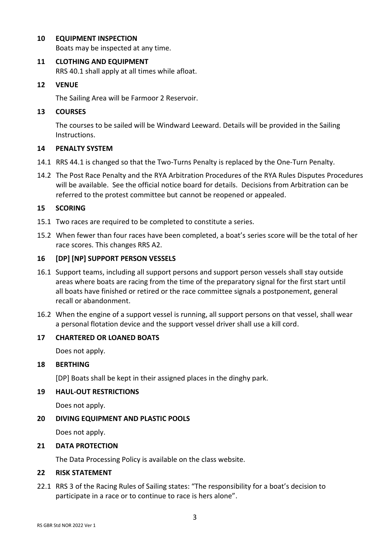# **10 EQUIPMENT INSPECTION**

Boats may be inspected at any time.

# **11 CLOTHING AND EQUIPMENT**

RRS 40.1 shall apply at all times while afloat.

# **12 VENUE**

The Sailing Area will be Farmoor 2 Reservoir.

# **13 COURSES**

The courses to be sailed will be Windward Leeward. Details will be provided in the Sailing Instructions.

# **14 PENALTY SYSTEM**

- 14.1 RRS 44.1 is changed so that the Two-Turns Penalty is replaced by the One-Turn Penalty.
- 14.2 The Post Race Penalty and the RYA Arbitration Procedures of the RYA Rules Disputes Procedures will be available. See the official notice board for details. Decisions from Arbitration can be referred to the protest committee but cannot be reopened or appealed.

# **15 SCORING**

- 15.1 Two races are required to be completed to constitute a series.
- 15.2 When fewer than four races have been completed, a boat's series score will be the total of her race scores. This changes RRS A2.

# **16 [DP] [NP] SUPPORT PERSON VESSELS**

- 16.1 Support teams, including all support persons and support person vessels shall stay outside areas where boats are racing from the time of the preparatory signal for the first start until all boats have finished or retired or the race committee signals a postponement, general recall or abandonment.
- 16.2 When the engine of a support vessel is running, all support persons on that vessel, shall wear a personal flotation device and the support vessel driver shall use a kill cord.

## **17 CHARTERED OR LOANED BOATS**

Does not apply.

## **18 BERTHING**

[DP] Boats shall be kept in their assigned places in the dinghy park.

## **19 HAUL-OUT RESTRICTIONS**

Does not apply.

# **20 DIVING EQUIPMENT AND PLASTIC POOLS**

Does not apply.

## **21 DATA PROTECTION**

The Data Processing Policy is available on the class website.

## **22 RISK STATEMENT**

22.1 RRS 3 of the Racing Rules of Sailing states: "The responsibility for a boat's decision to participate in a race or to continue to race is hers alone".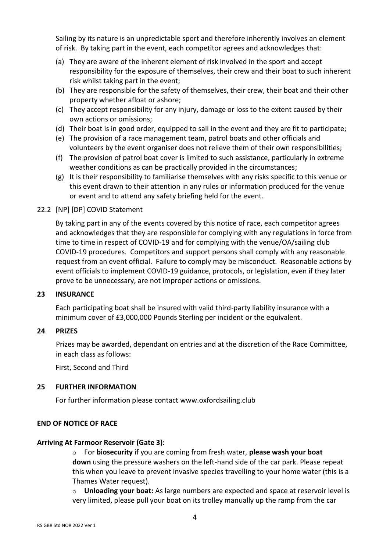Sailing by its nature is an unpredictable sport and therefore inherently involves an element of risk. By taking part in the event, each competitor agrees and acknowledges that:

- (a) They are aware of the inherent element of risk involved in the sport and accept responsibility for the exposure of themselves, their crew and their boat to such inherent risk whilst taking part in the event;
- (b) They are responsible for the safety of themselves, their crew, their boat and their other property whether afloat or ashore;
- (c) They accept responsibility for any injury, damage or loss to the extent caused by their own actions or omissions;
- (d) Their boat is in good order, equipped to sail in the event and they are fit to participate;
- (e) The provision of a race management team, patrol boats and other officials and volunteers by the event organiser does not relieve them of their own responsibilities;
- (f) The provision of patrol boat cover is limited to such assistance, particularly in extreme weather conditions as can be practically provided in the circumstances;
- (g) It is their responsibility to familiarise themselves with any risks specific to this venue or this event drawn to their attention in any rules or information produced for the venue or event and to attend any safety briefing held for the event.

# 22.2 [NP] [DP] COVID Statement

By taking part in any of the events covered by this notice of race, each competitor agrees and acknowledges that they are responsible for complying with any regulations in force from time to time in respect of COVID-19 and for complying with the venue/OA/sailing club COVID-19 procedures. Competitors and support persons shall comply with any reasonable request from an event official. Failure to comply may be misconduct. Reasonable actions by event officials to implement COVID-19 guidance, protocols, or legislation, even if they later prove to be unnecessary, are not improper actions or omissions.

## **23 INSURANCE**

Each participating boat shall be insured with valid third-party liability insurance with a minimum cover of £3,000,000 Pounds Sterling per incident or the equivalent.

## **24 PRIZES**

Prizes may be awarded, dependant on entries and at the discretion of the Race Committee, in each class as follows:

First, Second and Third

## **25 FURTHER INFORMATION**

For further information please contact www.oxfordsailing.club

## **END OF NOTICE OF RACE**

## **Arriving At Farmoor Reservoir (Gate 3):**

o For **biosecurity** if you are coming from fresh water, **please wash your boat down** using the pressure washers on the left-hand side of the car park. Please repeat this when you leave to prevent invasive species travelling to your home water (this is a Thames Water request).

o **Unloading your boat:** As large numbers are expected and space at reservoir level is very limited, please pull your boat on its trolley manually up the ramp from the car